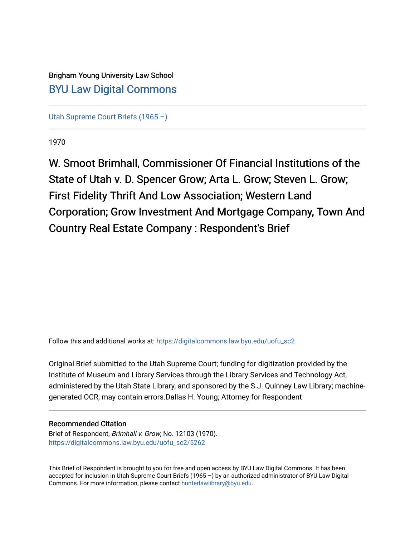## Brigham Young University Law School [BYU Law Digital Commons](https://digitalcommons.law.byu.edu/)

[Utah Supreme Court Briefs \(1965 –\)](https://digitalcommons.law.byu.edu/uofu_sc2)

1970

W. Smoot Brimhall, Commissioner Of Financial Institutions of the State of Utah v. D. Spencer Grow; Arta L. Grow; Steven L. Grow; First Fidelity Thrift And Low Association; Western Land Corporation; Grow Investment And Mortgage Company, Town And Country Real Estate Company : Respondent's Brief

Follow this and additional works at: [https://digitalcommons.law.byu.edu/uofu\\_sc2](https://digitalcommons.law.byu.edu/uofu_sc2?utm_source=digitalcommons.law.byu.edu%2Fuofu_sc2%2F5262&utm_medium=PDF&utm_campaign=PDFCoverPages)

Original Brief submitted to the Utah Supreme Court; funding for digitization provided by the Institute of Museum and Library Services through the Library Services and Technology Act, administered by the Utah State Library, and sponsored by the S.J. Quinney Law Library; machinegenerated OCR, may contain errors.Dallas H. Young; Attorney for Respondent

#### Recommended Citation

Brief of Respondent, Brimhall v. Grow, No. 12103 (1970). [https://digitalcommons.law.byu.edu/uofu\\_sc2/5262](https://digitalcommons.law.byu.edu/uofu_sc2/5262?utm_source=digitalcommons.law.byu.edu%2Fuofu_sc2%2F5262&utm_medium=PDF&utm_campaign=PDFCoverPages) 

This Brief of Respondent is brought to you for free and open access by BYU Law Digital Commons. It has been accepted for inclusion in Utah Supreme Court Briefs (1965 –) by an authorized administrator of BYU Law Digital Commons. For more information, please contact [hunterlawlibrary@byu.edu](mailto:hunterlawlibrary@byu.edu).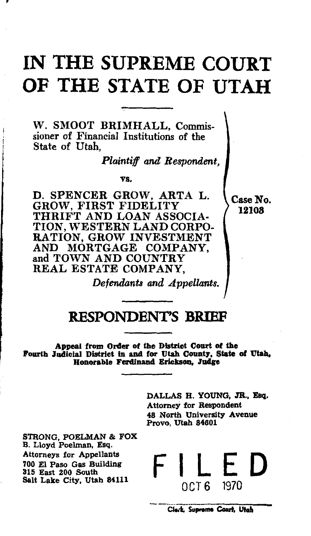# **IN THE SUPREME COURT OF THE STATE OF UTAH**

W. SMOOT BRIMHALL, Commissioner of Financial Institutions of the State of Utah,

*Plaintiff and Respondent,* 

vs.

D. SPENCER GROW, ARTA L. Case No. GROW, FIRST FIDELITY  $\left\{\begin{array}{c} \text{Case N} \\ 12108 \end{array}\right\}$ THRIFT AND LOAN ASSOCIA-TION, WESTERN LAND CORPO-RATION, GROW INVESTMENT AND MORTGAGE COMPANY, and TOWN AND COUNTRY REAL ESTATE COMPANY,

*Defendants and Appellants.* 

## **RESPONDENT'S BRIEF**

Appeal from Order of the District Court of the Fourth Judicial District in and for Utah County, State of Utah, Honorable Ferdinan4 Erieksoa, Judge

> DALLAS H. YOUNG, JR., Esq. Attorney for Respondent 48 North University Avenue Provo, Utah 84601

STRONG, POELMAN & FOX B. Lloyd Poelman, Esq. Attorneys for Appellants 700 El Paso Gas Building 315 East 200 South Salt Lake City, Utah 84111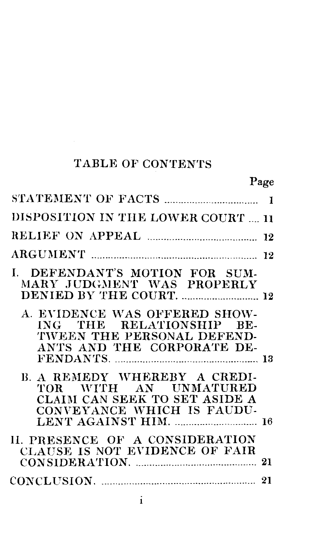## TABLE OF CONTENTS

## Page

| DISPOSITION IN THE LOWER COURT  11<br>I. DEFENDANT'S MOTION FOR SUM-<br>MARY JUDGMENT WAS PROPERLY<br>DENIED BY THE COURT.  12<br>A. EVIDENCE WAS OFFERED SHOW-<br>ING THE RELATIONSHIP BE-<br>TWEEN THE PERSONAL DEFEND-<br>ANTS AND THE CORPORATE DE-<br>B. A REMEDY WHEREBY A CREDI-<br>TOR WITH AN UNMATURED<br>CLAIM CAN SEEK TO SET ASIDE A<br>CONVEYANCE WHICH IS FAUDU-<br>LENT AGAINST HIM.  16<br>II. PRESENCE OF A CONSIDERATION<br>CLAUSE IS NOT EVIDENCE OF FAIR |  |
|-------------------------------------------------------------------------------------------------------------------------------------------------------------------------------------------------------------------------------------------------------------------------------------------------------------------------------------------------------------------------------------------------------------------------------------------------------------------------------|--|
|                                                                                                                                                                                                                                                                                                                                                                                                                                                                               |  |
|                                                                                                                                                                                                                                                                                                                                                                                                                                                                               |  |
|                                                                                                                                                                                                                                                                                                                                                                                                                                                                               |  |
|                                                                                                                                                                                                                                                                                                                                                                                                                                                                               |  |
|                                                                                                                                                                                                                                                                                                                                                                                                                                                                               |  |
|                                                                                                                                                                                                                                                                                                                                                                                                                                                                               |  |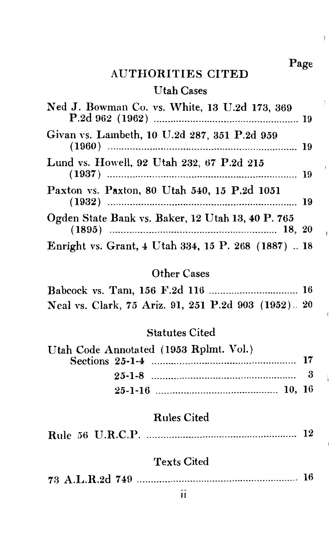Page

 $\cdot$ 

 $\overline{1}$ 

j,

j

#### AUTHORITIES CITED

#### Utah Cases

| Ned J. Bowman Co. vs. White, 13 U.2d 173, 369       |  |
|-----------------------------------------------------|--|
| Givan vs. Lambeth, 10 U.2d 287, 351 P.2d 959        |  |
| Lund vs. Howell, 92 Utah 232, 67 P.2d 215           |  |
| Paxton vs. Paxton, 80 Utah 540, 15 P.2d 1051        |  |
| Ogden State Bank vs. Baker, 12 Utah 13, 40 P. 765   |  |
| Enright vs. Grant, 4 Utah 334, 15 P. 268 (1887)  18 |  |

## Other Cases

|  |  | Neal vs. Clark, 75 Ariz. 91, 251 P.2d 903 (1952) 20 |  |
|--|--|-----------------------------------------------------|--|

#### Statutes Cited

| Utah Code Annotated (1953 Rplmt. Vol.) |  |
|----------------------------------------|--|
|                                        |  |
|                                        |  |
|                                        |  |

## Rules Cited

|--|--|--|--|--|--|

### Texts Cited

|--|--|--|--|--|--|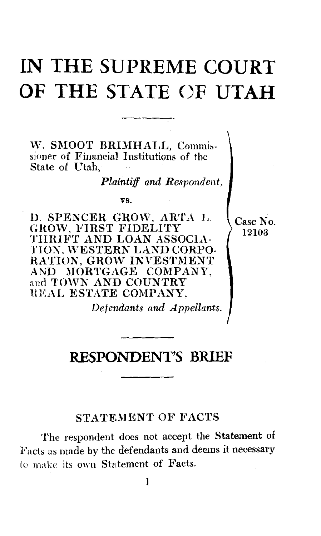# **IN THE SUPREME COURT OF THE STATE ()F UTAH**

W. SMOOT BRIMHALL. Commissioner of Financial Institutions of the State of Utah

*Plaintiff and Respondent,* 

Case No. 12103

vs.

D. SPENCER GROW, ARTA L. GROW, FIRST FIDELITY THRIFT AND LOAN ASSOCIA-TION. WESTERN LAND CORPO-RATION, GROW INVESTMENT AND MORTGAGE COMPANY, and TOWN AND COUNTRY HEAL ESTATE COMPANY,

*Defendants and Appellants.* 

## **RESPONDENT'S BRIEF**

#### STATEMENT OF FACTS

The respondent does not accept the Statement of Facts as made by the defendants and deems it necessary to make its own Statement of Facts.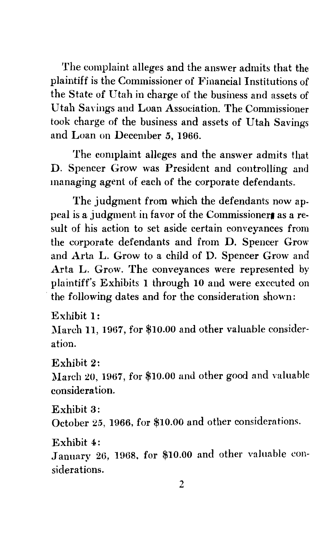The complaint alleges and the answer admits that the plaintiff is the Commissioner of Financial Institutions of the State of Utah in charge of the business and assets of Utah Savings and Loan Association. The Commissioner took charge of the business and assets of Utah Savings and Loan on December *5,* 1966.

The complaint alleges and the answer admits that D. Spencer Grow was President and controlling and managing agent of each of the corporate defendants.

The judgment from which the defendants now appeal is a judgment in favor of the Commissioner as a result of his action to set aside certain conveyances from the corporate defendants and from D. Spencer Grow and Arta L. Grow to a child of D. Spencer Grow and Arta L. Grow. The conveyances were represented by plaintiff's Exhibits l through 10 and were executed on the following dates and for the consideration shown:

Exhibit l:

March 11, 1967, for \$10.00 and other valuable consideration.

Exhibit 2:

March 20, 1967, for \$10.00 and other good and valuable consideration.

Exhibit 3:

October 25, 1966, for \$10.00 and other considerations.

Exhibit 4:

January 26, 1968, for \$10.00 and other valuable considerations.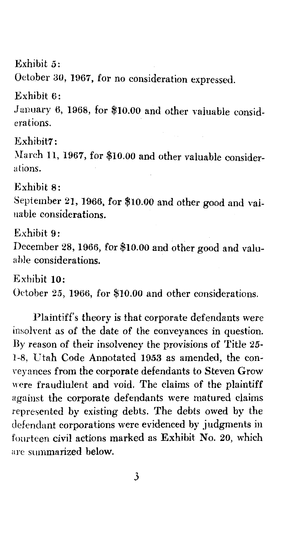Exhibit 5:

October 30, 1967, for no consideration expressed.

Exhibit 6:

January *6,* 1968, for \$10.00 and other valuable considerations.

Exhibit7:

March 11, 1967, for \$10.00 and other valuable considerations.

Exhibit 8:

September 21, 1966, for \$10.00 and other good and valuable considerations.

Exhibit 9:

December 28, 1966, for \$10.00 and other good and valua hle considerations.

Exhibit 10: October 25, 1966, for \$10.00 and other considerations.

Plaintiff's theory is that corporate defendants were insolvent as of the date of the conveyances in question. By reason of their insolvency the provisions of Title *25-* 1-8, Utah Code Annotated 1953 as amended, the conveyances from the corporate defendants to Steven Grow were fraudlulent and void. The claims of the plaintiff against the corporate defendants were matured claims. represented by existing debts. The debts owed by the defendant corporations were evidenced by judgments in fourteen civil actions marked as Exhibit No. 20, which are summarized below.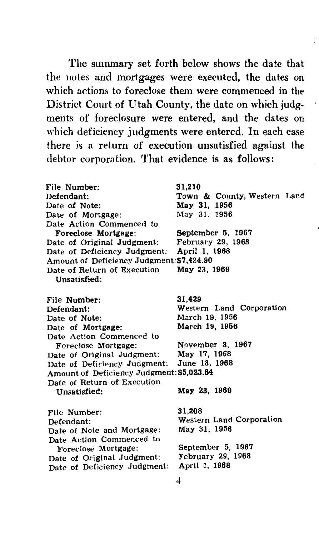The summary set forth below shows the date that the notes and mortgages were executed, the dates on which actions to foreclose them were commenced in the District Court of Utah County, the date on which judgments of foreclosure were entered, and the dates on which deficiency judgments were entered. In each case there is a return of execution unsatisfied against the debtor corporation. That evidence is as follows:

| File Number:<br>Defend <b>a</b> nt:<br>Date of Note:<br>Date of Mortgage:                                                                                                                                 | 31.210<br>Town & County, Western Land<br>May 31, 1956<br>May 31, 1956                                                |
|-----------------------------------------------------------------------------------------------------------------------------------------------------------------------------------------------------------|----------------------------------------------------------------------------------------------------------------------|
| Date Action Commenced to<br>Foreclose Mortgage:<br>Date of Original Judgment:<br>Date of Deficiency Judgment:<br>Amount of Deficiency Judgment: \$7,424.90<br>Date of Return of Execution<br>Unsatisfied: | September 5, 1967<br>February 29, 1968<br>April 1, 1968<br>May 23, 1969                                              |
| File Number:<br>Defendant:<br>Date of Note:<br>Date of Mortgage:<br>Date Action Commenced to<br>Foreclose Mortgage:                                                                                       | 31.429<br>Western Land Corporation<br>March 19, 1956<br>March 19, 1956<br>November 3, 1967                           |
| Date of Original Judgment:<br>Date of Deficiency Judgment:<br>Amount of Deficiency Judgment: \$5,023.84                                                                                                   | May 17, 1968<br>June 18, 1968                                                                                        |
| Date of Return of Execution<br>Unsatisfied:                                                                                                                                                               | May 23, 1969                                                                                                         |
| File Number:<br>Defendant:<br>Date of Note and Mortgage:<br>Date Action Commenced to<br>Foreclose Mortgage:<br>Date of Original Judgment:<br>Date of Deficiency Judgment:                                 | 31.208<br><b>Western Land Corporation</b><br>May 31, 1956<br>September 5, 1967<br>February 29, 1968<br>April 1, 1968 |
|                                                                                                                                                                                                           |                                                                                                                      |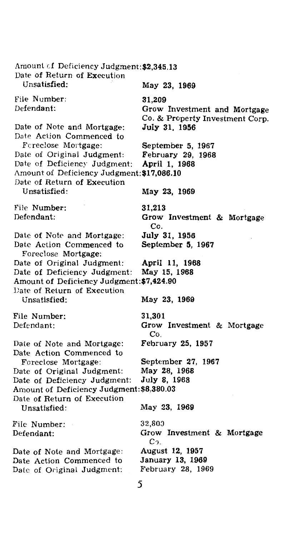Amount *cI* Deficiency Judgment:\$2,345.13 Date of Return of Execution Unsatisfied: May 23, 1969 File Number: 31,209 Defendant: Grow Investment and Mortgage Co. & Property Investment Corp. Date of Note and Mortgage: July 31, 1956 Date Action Commenced to<br>Foreclose Mortgage: September 5, 1967<br>February 29, 1968 Date of Original Judgment: February 29,<br>Date of Deficiency Judgment: April 1, 1968 Date of Deficiency Judgment: Amount of Deficiency Judgment:\$17,086.10 Date of Return of Execution<br>Unsatisfied May 23, 1969 File Number: 31,213 Defendant: Grow Investment & Mortgage Co.<br>July 31, 1956 Date of Note and Mortgage: July 31, 1956<br>Date Action Commenced to September 5, 1967 Date Action Commenced to Foreclose Mortgage: Date of Original Judgment: **April 11, 1968** Date of Deficiency Judgment: May 15, 1968 Amount of Deficiency Judgment:\$7,424.90 Date of Return of Execution<br>Unsatisfied: May 23, 1969 File Number: 31,301 Defendant: Grow Investment & Mortgage Co. Date of Note and Mortgage: February 25, 1957 Date Action Commenced to Foreclose Mortgage: September 27, 1967 Date of Original Judgment: May 28, 1968<br>Date of Deficiency Judgment: July 8, 1968 Date of Deficiency Judgment: Amount of Deficiency Judgment:\$8,380.03 Date of Return of Execution Unsatisfied: May 23, 1969 32,800 File Number: Grow Investment & Mortgage Defendant:  $C<sub>2</sub>$ . Date of Note and Mortgage: August 12, 1957 January 13, 1969 Date Action Commenced to February 28, 1969 Date of Original Judgment: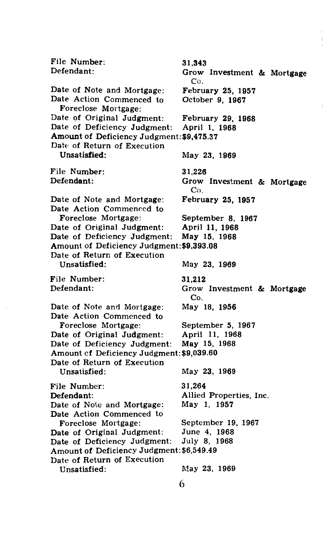File Number: 31,343<br>Defendant: Grow Defendant: Grow Investment & Mortgage  $Co.$  February 25, 1957 Date of Note and Mortgage: February 25, 19<br>Date Action Commenced to October 9, 1967 Date Action Commenced to Foreclose Mortgage: Date of Original Judgment: February 29, 1968<br>Date of Deficiency Judgment: April 1, 1968 Date of Deficiency Judgment: Amount of Deficiency Judgment:\$9,475.37 Date of Return of Execution<br>Unsatisfied: May 23, 1969 File Number: 31,226<br>Defendant: Grow Defendant: Grow Investment & Mortgage Co. Date of Note and Mortgage: February 25, 1957 Date Action Commenced to<br>Foreclose Mortgage: September 8, 1967<br>April 11, 1968 Date of Original Judgment: April 11, 1968<br>Date of Deficiency Judgment: May 15, 1968 Date of Deficiency Judgment: Amount of Deficiency Judgment:\$9,393.08 Date of Return of Execution May 23, 1969 File Number: 31,212<br>Defendant: Grow Grow Investment & Mortgage Co. Date of Note and Mortgage: May 18, 1956 Date Action Commenced to Foreclose Mortgage: September 5, 1967 Date of Original Judgment: Date of Deficiency Judgment: May 15, 1968 Amount cf Deficiency Judgment:\$9,039.60 Date of Return of Execution Unsatisfied: May 23, 1969 File Number: Defendant: Date of Note and Mortgage: Date Action Commenced to 31,264 Allied Properties, Inc. May 1, 1957 Foreclose Mortgage: September 19, 1967 Date of Original Judgment: June 4, 1968<br>Date of Deficiency Judgment: July 8, 1968 Date of Deficiency Judgment: Amount of Deficiency Judgment:\$6,549.49 Date of Return of Execution Unsatisfied: May 23, 1969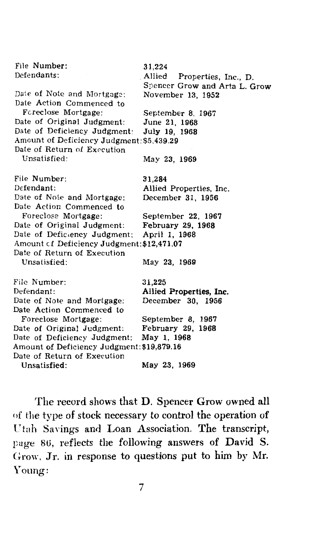| File Number:                               | 31,224                         |
|--------------------------------------------|--------------------------------|
| Defendants:                                | Allied<br>Properties, Inc., D. |
|                                            | Spencer Grow and Arta L. Grow  |
| Date of Note and Mortgage:                 | November 13, 1952              |
| Date Action Commenced to                   |                                |
| Foreclose Mortgage:                        | September 8, 1967              |
| Date of Original Judgment:                 | June 21, 1968                  |
| Date of Deficiency Judgment:               | July 19, 1968                  |
| Amount of Deficiency Judgment: \$5,439.29  |                                |
| Date of Return of Execution                |                                |
| Unsatisfied:                               | May 23, 1969                   |
|                                            |                                |
| File Number:                               | 31,284                         |
| Defendant:                                 | Allied Properties, Inc.        |
| Date of Note and Mortgage:                 | December 31, 1956              |
| Date Action Commenced to                   |                                |
| Foreclose Mortgage:                        | September 22, 1967             |
| Date of Original Judgment:                 | February 29, 1968              |
| Date of Deficiency Judgment:               | April 1, 1968                  |
| Amount of Deficiency Judgment: \$12,471.07 |                                |
| Date of Return of Execution                |                                |
| Unsatisfied:                               | May 23, 1969                   |
|                                            |                                |
| File Number:                               | 31,225                         |
| Defendant:                                 | Allied Properties, Inc.        |
| Date of Note and Mortgage:                 | December 30, 1956              |
| Date Action Commenced to                   |                                |
| Foreclose Mortgage:                        | September 8, 1967              |
| Date of Original Judgment:                 | February 29,<br>1968           |
| Date of Deficiency Judgment:               | May 1, 1968                    |
| Amount of Deficiency Judgment: \$19,879.16 |                                |
| Date of Return of Execution                |                                |
| Unsatisfied:                               | May 23, 1969                   |
|                                            |                                |

The record shows that D. Spencer Grow owned all of the type of stock necessary to control the operation of Ctah Savings and Loan Association. The transcript, page 86, reflects the following answers of David S. Grow, Jr. in response to questions put to him by Mr. Young: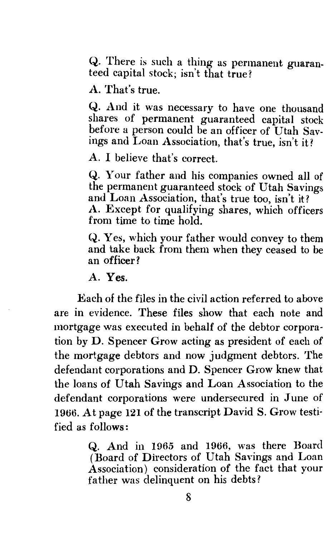Q. There is such a thing as permanent guaranteed capital stock; isn't that true?

A. That's true.

Q. And it was necessary to have one thousand shares of permanent guaranteed capital stock before a person could be an officer of Utah Savings and Loan Association, that's true, isn't it?

A. I believe that's correct.

Q. Your father and his companies owned all of the permanent guaranteed stock of Utah Savings and Loan Association, that's true too, isn't it? A. Except for qualifying shares, which officers from time to time hold.

Q. Yes, which your father would convey to them and take back from them when they ceased to be an officer?

A. Yes.

Each of the files in the civil action referred to above are in evidence. These files show that each note and mortgage was executed in behalf of the debtor corporation by D. Spencer Grow acting as president of each of the mortgage debtors and now judgment debtors. The defendant corporations and D. Spencer Grow knew that the loans of Utah Savings and Loan Association to the defendant corporations were undersecured in June of 1966. At page 121 of the transcript David S. Grow testified as follows :

> Q. And in 1965 and 1966, was there Board (Board of Directors of Utah Savings and Loan Association) consideration of the fact that your father was delinquent on his debts?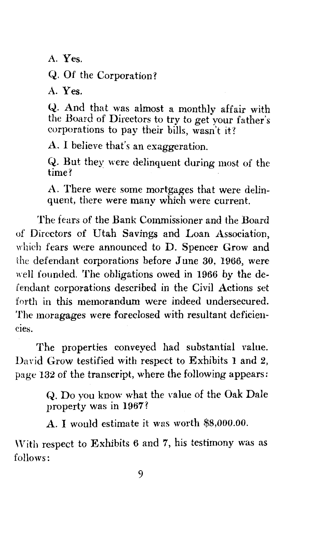A. Yes.

Q. Of the Corporation?

A. Yes.

Q. And that was almost a monthly affair with the Board of Directors to try to get your father's corporations to pay their bills, wasn't it?

A. I believe that's an exaggeration.

Q. But they were delinquent during most of the time? time?

A. There were some mortgages that were delinquent, there were many which were current.

The fears of the Bank Commissioner and the Board of Directors of Utah Savings and Loan Association, which fears were announced to D. Spencer Grow and the defendant corporations before June 30, 1966, were well founded. The obligations owed in 1966 by the defendant corporations described in the Civil Actions set forth in this memorandum were indeed undersecured. The moragages were foreclosed with resultant deficiencies.

The properties conveyed had substantial value. David Grow testified with respect to Exhibits I and 2, page 132 of the transcript, where the following appears:

> Q. Do you know what the value of the Oak Dale property was in 1967?

A. I would estimate it was worth \$8,000.00.

With respect to Exhibits  $6$  and  $7$ , his testimony was as follows: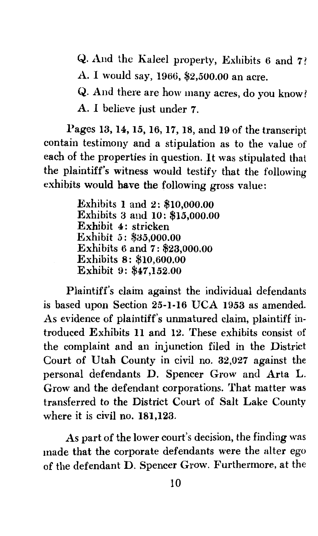Q. Aud the Kaleel property, Exhibits 6 and 7

A. I would say, 1966, \$2,500.00 an acre.

Q. And there are how many acres, do you know?

A. *I* believe just under 7.

Pages 13, 14, *15,* 16, 17, 18, and 19 of the transcript contain testimony and a stipulation as to the value of each of the properties in question. It was stipulated that the plaintiff's witness would testify that the following exhibits would have the following gross value:

> Exhibits I and 2: \$10,000.00 Exhibits 3 and IO: \$15,000.00 Exhibit 4: stricken Exhibit *5:* \$35,ooo.oo Exhibits 6 and 7: \$23,000.00 Exhibits 8: \$10,600.00 Exhibit 9: \$47,152.00

Plaintiff's claim against the individual defendants is based upon Section 25-1-16 UCA 1953 as amended. As evidence of plaintiff's unmatured claim, plaintiff introduced Exhibits II and 12. These exhibits consist of the complaint and an injunction filed in the District Court of Utah County in civil no. 32,027 against the personal defendants D. Spencer Grow and Arta L. Grow and the defendant corporations. That matter was transferred to the District Court of Salt Lake County where it is civil no. 181,123.

As part of the lower court's decision, the finding was made that the corporate defendants were the alter ego of the defendant D. Spencer Grow. Furthermore, at the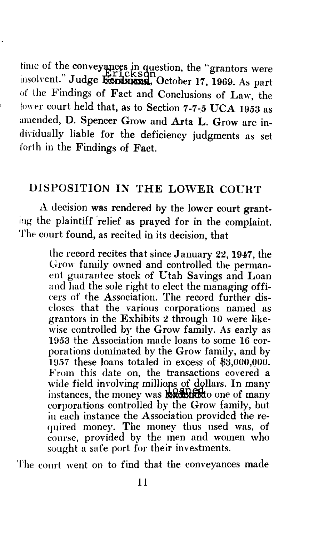time of the conveyances in question, the "grantors were<br>insolvent." Judge Rordmand, October 17, 1969. As part of the Findings of Fact and Conclusions of Law, the lower court held that, as to Section 7-7-5 UCA 1953 as amended, D. Spencer Grow and Arta L. Grow are individually liable for the deficiency judgments as set forth in the Findings of Fact.

## DISPOSITION IN THE LOWER COURT

 $\Lambda$  decision was rendered by the lower court granting the plaintiff relief as prayed for in the complaint. The court found, as recited in its decision, that

> the record recites that since January 22, 1947, the Grow family owned and controlled the permanent guarantee stock of Utah Savings and Loan and had the sole right to elect the managing officers of the Association. The record further discloses that the various corporations named as grantors in the Exhibits 2 through 10 were likewise controlled by the Grow family. As early as 1953 the Association made loans to some 16 corporations dominated by the Grow family, and by 1957 these loans totaled in excess of \$3,000,QOO. From this date on, the transactions covered a wide field involving millions of dollars. In many instances, the money was  $\frac{1}{2}$   $\frac{1}{2}$   $\frac{1}{2}$  one of many corporations controlled by the Grow family, but in each instance the Association provided the re quired money. The money thus used was, of course, provided by the men and women who sought a safe port for their investments.

The court went on to find that the conveyances made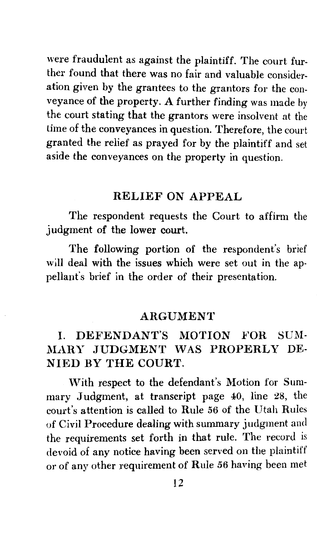were fraudulent as against the plaintiff. The court further found that there was no fair and valuable consideration given by the grantees to the grantors for the conveyance of the property. *A* further finding was made by the court stating that the grantors were insolvent at the time of the conveyances in question. Therefore, the court granted the relief as prayed for by the plaintiff and set aside the conveyances on the property in question.

#### RELIEF ON APPEAL

The respondent requests the Court to affirm the judgment of the lower court.

The following portion of the respondent's brief will deal with the issues which were set out in the appellant's brief in the order of their presentation.

#### ARGUMENT

### I. DEFENDANT'S MOTION FOR SUM-.MARY JUDGMENT WAS PROPERLY DE-NIED BY THE COURT.

With respect to the defendant's Motion for Summary Judgment, at transcript page 40, line 28, the court's attention is called to Rule *56* of the Utah Rules of Civil Procedure dealing with summary judgment and the requirements set forth in that rule. The record is devoid of any notice having been served on the plaintiff or of any other requirement of Rule *56* having been met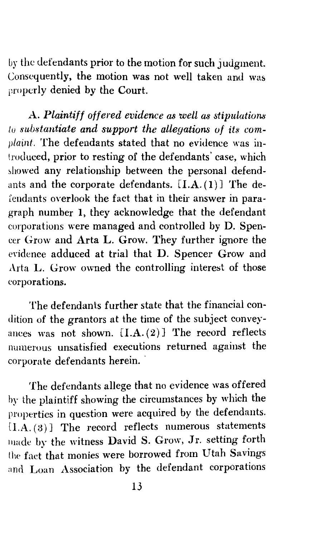by the defendants prior to the motion for such judgment. Consequently, the motion was not well taken and was properly denied by the Court.

A. Plaintiff offered evidence as well as stipulations *lo substantiate and support the allegations uf its complaint.* The defendants stated that no evidence was introduced, prior to resting of the defendants' case, which showed any relationship between the personal defendants and the corporate defendants.  $[I.A.(1)]$  The del'endants overlook the fact that in their answer in paragraph number I, they acknowledge that the defendant corporations were managed and controlled by D. Spencer Grow and Arta L. Grow. They further ignore the evidence adduced at trial that D. Spencer Grow and Arta L. Grow owned the controlling interest of those eorporations.

The defendants further state that the financial condition of the grantors at the time of the subject conveyances was not shown.  $[I.A.(2)]$  The record reflects numerous unsatisfied executions returned against the corporate defendants herein.

The defendants allege that no evidence was offered by the plaintiff showing the circumstances by which the properties in question were acquired by the defendants.  $[I.A. (3)]$  The record reflects numerous statements made by the witness David S. Grow, Jr. setting forth the fact. that monies were borrowed from Utah Savings and Loan Association by the defendant corporations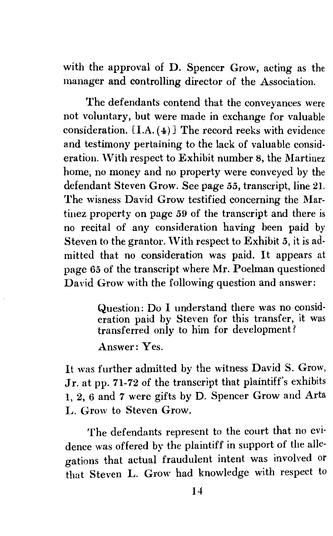with the approval of D. Spencer Grow, acting as the manager and controlling director of the Association.

The defendants contend that the conveyances were not voluntary, but were made in exchange for valuable consideration.  $[I.A. (4)]$  The record reeks with evidence and testimony pertaining to the lack of valuable consideration. With respect to Exhibit number 8, the Martinez home, no money and no property were conveyed by the defendant Steven Grow. See page *55,* transcript, line 21. The wisness David Grow testified concerning the Martinez property on page 59 of the transcript and there is no recital of any consideration having been paid by Steven to the grantor. \Vith respect to Exhibit *5,* it is admitted that no consideration was paid. It appears at page *65* of the transcript where Mr. Poelman questioned David Grow with the following question and answer:

> Question: Do I understand there was no consideration paid by Steven for this transfer, it was transferred only to him for development?

Answer: Yes.

It was further admitted by the witness David S. Grow, Jr. at pp. 71-72 of the transcript that plaintiff's exhibits I, 2, 6 and 7 were gifts by D. Spencer Grow and Arta L. Grow to Steven Grow.

The defendants represent to the court that no evidence was offered by the plaintiff in support of the allegations that actual fraudulent intent was involved or that Steven L. Grow had knowledge with respect to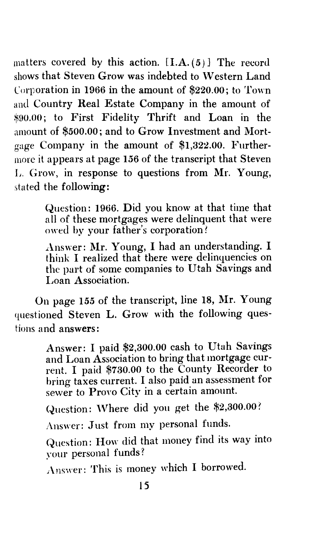matters covered by this action.  $[I.A.(5)]$  The record shows that Steven Grow was indebted to Western Land Corporation in 1966 in the amount of \$220.00; to Town and Country Real Estate Company in the amount of \*90.00; to First Fidelity Thrift and Loan in the amount of \$500.00; and to Grow Investment and Mortgage Company in the amount of \$1,322.00. Furthermore it appears at page 156 of the transcript that Steven L. Grow, in response to questions from Mr. Young, stated the following:

> Question: 1966. Did you know at that time that all of these mortgages were delinquent that were owed by your father's corporation?

> Answer: Mr. Young, I had an understanding. I think I realized that there were delinquencies on the part of some companies to Utah Savings and Loan Association.

On page 155 of the transcript, line 18, Mr. Young questioned Steven L. Grow with the following questions and answers:

> Answer: I paid \$2,300.00 cash to Utah Savings and Loan Association to bring that mortgage current. I paid \$730.00 to the County Recorder to bring taxes current. I also paid an assessment for sewer to Provo City in a certain amount.

Question: Where did you get the \$2,300.00?

*J\* nswer: Just from my personal funds.

Question: How did that money find its way into your personal funds?

Answer: This is money which I borrowed.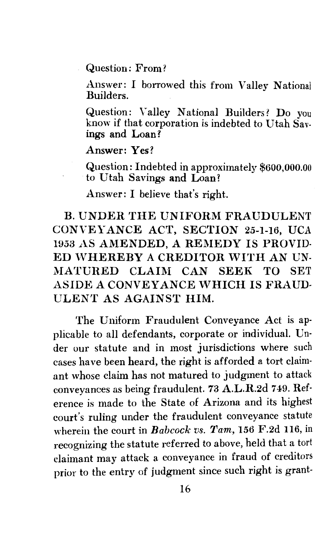Question: From?

Answer: I borrowed this from Valley National Builders.

Question: Valley National Builders? Do you know if that corporation is indebted to Utah Savings and Loan?

#### Answer: Yes?

Question: Indebted in approximately \$600,000.00 to Utah Savings and Loan?

Answer: I believe that's right.

B. UNDER THE UNIFORM FRAUDULENT CONVEYANCE ACT, SECTION 25-1-16, UCA 1953 AS AMENDED, A REMEDY IS PROVID-ED WHEREBY A CREDITOR WITH AN UN-MATURED CLAIM CAN SEEK TO SET ASIDE *A* CONVEYANCE WHICH IS FRAUD-ULENT AS AGAINST HIM.

The Uniform Fraudulent Conveyance Act is ap· plicable to all defendants, corporate or individual. Un· der our statute and in most jurisdictions where such cases have been heard, the right is afforded a tort claimant whose claim has not matured to judgment to attack conveyances as being fraudulent. 73 A.L.R.2d 7 49. Ref· erence is made to the State of Arizona and its highest court's ruling under the fraudulent conveyance statute wherein the court in *Babcock vs. Tam,* 156 F.2d 116, in recognizing the statute referred to above, held that a tort claimant may attack a conveyance in fraud of creditors prior to the entry of judgment since such right is grant-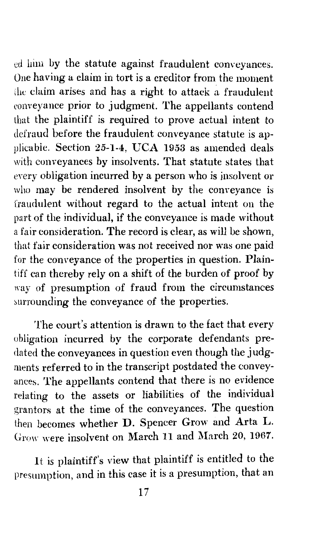ed him by the statute against fraudulent conveyances. One having a claim in tort is a creditor from the moment the claim arises and has a right to attack a fraudulent conveyance prior to judgment. The appellants contend that the plaintiff is required to prove actual intent to defraud before the fraudulent conveyance statute is applicable. Section 25-1-4, UCA 1953 as amended deals with conveyances by insolvents. That statute states that every obligation incurred by a person who is insolvent or who may be rendered insolvent by the conveyance is fraudulent without regard to the actual intent on the part of the individual, if the conveyance is made without a fair consideration. The record is clear, as will be shown, that fair consideration was not received nor was one paid for the conveyance of the properties in question. Plaintiff can thereby rely on a shift of the burden of proof by way of presumption of fraud from the circumstances surrounding the conveyance of the properties.

The court's attention is drawn to the fact that every obligation incurred by the corporate defendants predated the conveyances in question even though the judgments referred to in the transcript postdated the conveyances. The appellants contend that there is no evidence relating to the assets or liabilities of the individual grantors at the time of the conveyances. The question then becomes whether D. Spencer Grow and Arta L. Grow were insolvent on March 11 and March 20, 1967.

It is plaintiff's view that plaintiff is entitled to the presumption, and in this case it is a presumption, that an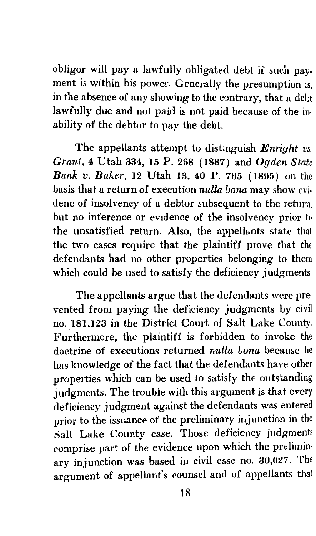obligor will pay a lawfully obligated debt if such payment is within his power. Generally the presumption is, in the absence of any showing to the contrary, that a debt lawfully due and not paid is not paid because of the inability of the debtor to pay the debt.

The appellants attempt to distinguish *Enright vs. Grant,* 4 Utah 334, 15 P. 268 (1887) and *Ogden State Bank v. Baker,* 12 Utah 13, 40 P. 765 ( 1895) on the basis that a return of execution *nulla bona* may show evidenc of insolvency of a debtor subsequent to the return, but no inference or evidence of the insolvency prior to the unsatisfied return. Also, the appellants state that the two cases require that the plaintiff prove that the defendants had no other properties belonging to them which could be used to satisfy the deficiency judgments.

The appellants argue that the defendants were prevented from paying the deficiency judgments by civil no. 181,123 in the District Court of Salt Lake County. Furthermore, the plaintiff is forbidden to invoke the doctrine of executions returned *nulla bona* because he has knowledge of the fact that the defendants have other properties which can be used to satisfy the outstanding judgments. The trouble with this argument is that every deficiency judgment against the defendants was entered prior to the issuance of the preliminary injunction in the Salt Lake County case. Those deficiency judgments comprise part of the evidence upon which the preliminary injunction was based in civil case no. 30,027. The argument of appellant's counsel and of appellants that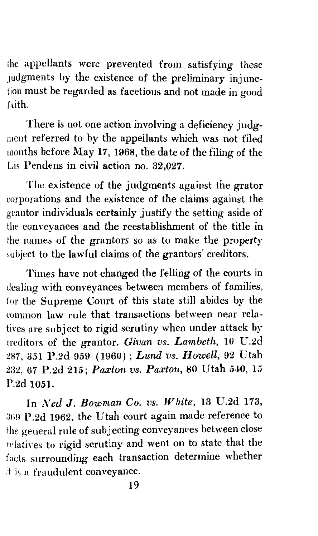the appellants were prevented from satisfying these judgments by the existence of the preliminary injunction must be regarded as facetious and not made in good faith.

There is not one action involving a deficiency judgment referred to by the appellants which was not filed months before May 17, 1968, the date of the filing of the Lis Pendens in civil action no. 32,027.

The existence of the judgments against the grator corporations and the existence of the claims against the grantor individuals certainly justify the setting aside of the conveyances and the reestablishment of the title in the names of the grantors so as to make the property subject to the lawful claims of the grantors' creditors.

Times have not changed the felling of the courts in dealing with conveyances between members of families, for the Supreme Court of this state still abides by the common law rule that transactions between near relatives are subject to rigid scrutiny when under attack by creditors of the grantor. *Givan vs. Lmnbeth,* 10 U.2d :!87, 351 P.2d 959 (1960); *Lund vs. Howell,* 92 Utah 23:!, (i7 P.2d 215; *Pa.xton vs. Paxton,* 80 Utah 540, 15 P.2d 1051.

In *Ned J. Bowman Co. vs. White,* 13 U.2d 173, 369 P.2d 1962, the Utah court again made reference to the general rule of subjecting conveyances between close relatives to rigid scrutiny and went on to state that the facts surrounding each transaction determine whether it is a fraudulent conveyance.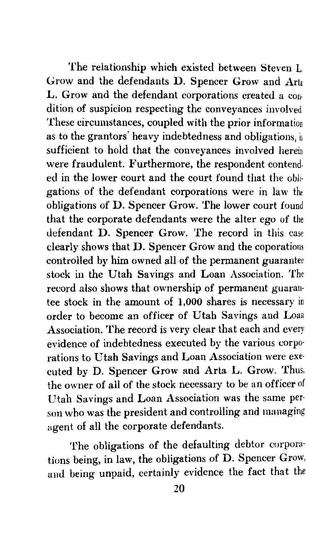The relationship which existed between Steven L. Grow and the defendants D. Spencer Grow and Arta L. Grow and the defendant corporations created a con· dition of suspicion respecting the conveyances involved. These circumstances, coupled with the prior information as to the grantors' heavy indebtedness and obligations, is sufficient to hold that the conveyances involved herein were fraudulent. Furthermore, the respondent contended in the lower court and the court found that the obli· gations of the defendant corporations were in law the obligations of D. Spencer Grow. The lower court found that the corporate defendants were the alter ego of the defendant D. Spencer Grow. The record in this case clearly shows that D. Spencer Grow and the coporations controlled by him owned all of the permanent guarantee stock in the Utah Savings and Loan Association. The record also shows that ownership of permanent guaran· tee stock in the amount of 1,000 shares is necessary in order to become an officer of Utah Savings and Loan Association. The record is very clear that each and every evidence of indebtedness executed by the various corpo· rations to Utah Savings and Loan Association were exe· cuted by D. Spencer Grow and Arta L. Grow. Thus, the owner of all of the stock necessary to be an officer of Utah Savings and Loan Association was the same per· son who was the president and controlling and managing agent of all the corporate defendants.

The obligations of the defaulting debtor corporations being, in law, the obligations of D. Spencer Grow, and being unpaid, certainly evidence the fact that the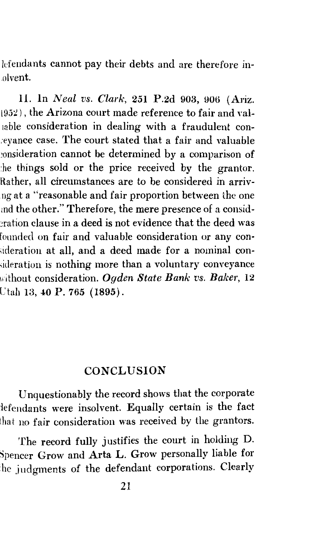lcfendants cannot pay their debts and are therefore in- .olvent.

11. ln *Neal vs. Clark,* 251 P.2d 903, goo (Ariz.  $(952)$ , the Arizona court made reference to fair and valiable consideration in dealing with a fraudulent con- :eyance case. The court stated that a fair and valuable consideration cannot be determined by a comparison of he things sold or the price received by the grantor. Rather, all circumstances are to be considered in arrivng at a "reasonable and fair proportion between the one md the other." Therefore, the mere presence of a consid eration clause in a deed is not evidence that the deed was founded on fair and valuable consideration or any conideration at all, and a deed made for a nominal con-;ideration is nothing more than a voluntary conveyance 1i·ithout consideration. *Ogden State Bank vs. Baker,* 12 Utah 13, 40 P. 765 (1895).

#### **CONCLUSION**

Unquestionably the record shows that the corporate lefendants were insolvent. Equally certain is the fact hat no fair consideration was received by the grantors.

The record fully justifies the court in holding D. Spencer Grow and Arta L. Grow personally liable for he judgments of the defendant corporations. Clearly